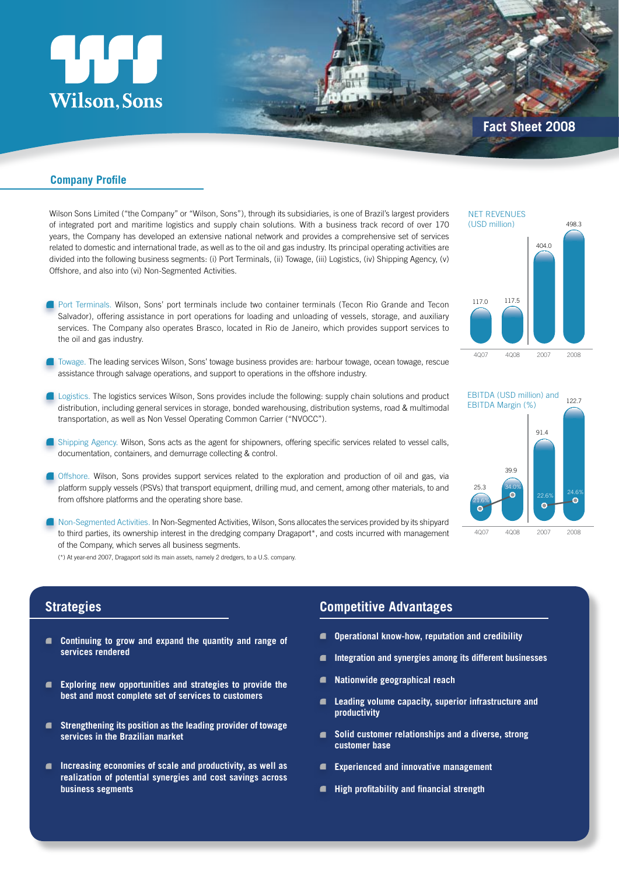

#### **Company Profile**

Wilson Sons Limited ("the Company" or "Wilson, Sons"), through its subsidiaries, is one of Brazil's largest providers of integrated port and maritime logistics and supply chain solutions. With a business track record of over 170 years, the Company has developed an extensive national network and provides a comprehensive set of services related to domestic and international trade, as well as to the oil and gas industry. Its principal operating activities are divided into the following business segments: (i) Port Terminals, (ii) Towage, (iii) Logistics, (iv) Shipping Agency, (v) Offshore, and also into (vi) Non-Segmented Activities.

- Port Terminals. Wilson, Sons' port terminals include two container terminals (Tecon Rio Grande and Tecon Salvador), offering assistance in port operations for loading and unloading of vessels, storage, and auxiliary services. The Company also operates Brasco, located in Rio de Janeiro, which provides support services to the oil and gas industry.
- Towage. The leading services Wilson, Sons' towage business provides are: harbour towage, ocean towage, rescue assistance through salvage operations, and support to operations in the offshore industry.
- **Logistics. The logistics services Wilson, Sons provides include the following: supply chain solutions and product** distribution, including general services in storage, bonded warehousing, distribution systems, road & multimodal transportation, as well as Non Vessel Operating Common Carrier ("NVOCC").
- Shipping Agency. Wilson, Sons acts as the agent for shipowners, offering specific services related to vessel calls, documentation, containers, and demurrage collecting & control.
- Offshore. Wilson, Sons provides support services related to the exploration and production of oil and gas, via platform supply vessels (PSVs) that transport equipment, drilling mud, and cement, among other materials, to and from offshore platforms and the operating shore base.
- **Non-Segmented Activities. In Non-Segmented Activities, Wilson, Sons allocates the services provided by its shipyard** to third parties, its ownership interest in the dredging company Dragaport\*, and costs incurred with management of the Company, which serves all business segments.

(\*) At year-end 2007, Dragaport sold its main assets, namely 2 dredgers, to a U.S. company.

# NET REVENUES (USD million) 117.0 404.0 498.3 117.5

4Q07 4Q08 2007 2008



## **Strategies**

- **Continuing to grow and expand the quantity and range of services rendered**
- **Exploring new opportunities and strategies to provide the**   $\blacksquare$ **best and most complete set of services to customers**
- **Strengthening its position as the leading provider of towage**   $\blacksquare$ **services in the Brazilian market**
- **Increasing economies of scale and productivity, as well as**   $\blacksquare$ **realization of potential synergies and cost savings across business segments**

## **Competitive Advantages**

- $\blacksquare$ **Operational know-how, reputation and credibility**
- **Integration and synergies among its different businesses**
- **Nationwide geographical reach**
- **Leading volume capacity, superior infrastructure and**   $\blacksquare$ **productivity**
- **Solid customer relationships and a diverse, strong customer base**
- **Experienced and innovative management**
- **High profitability and financial strength**  $\blacksquare$